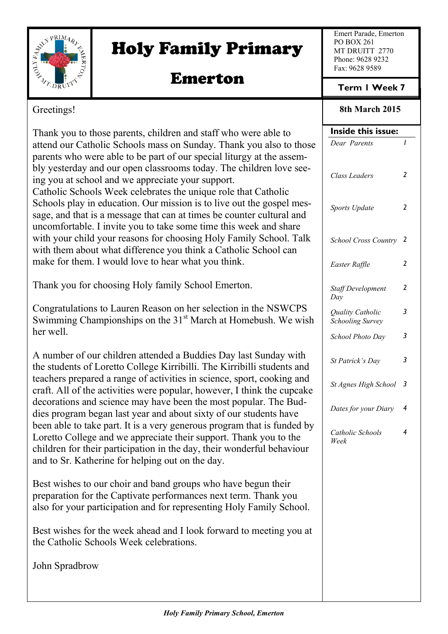

# Holy Family Primary

## Emerton

Emert Parade, Emerton PO BOX 261 MT DRUITT 2770 Phone: 9628 9232 Fax: 9628 9589

## **Term 1 Week 7**

## Greetings!

Thank you to those parents, children and staff who were able to attend our Catholic Schools mass on Sunday. Thank you also to those parents who were able to be part of our special liturgy at the assembly yesterday and our open classrooms today. The children love seeing you at school and we appreciate your support. Catholic Schools Week celebrates the unique role that Catholic Schools play in education. Our mission is to live out the gospel message, and that is a message that can at times be counter cultural and uncomfortable. I invite you to take some time this week and share with your child your reasons for choosing Holy Family School. Talk with them about what difference you think a Catholic School can make for them. I would love to hear what you think.

Thank you for choosing Holy family School Emerton.

Congratulations to Lauren Reason on her selection in the NSWCPS Swimming Championships on the  $31<sup>st</sup>$  March at Homebush. We wish her well.

A number of our children attended a Buddies Day last Sunday with the students of Loretto College Kirribilli. The Kirribilli students and teachers prepared a range of activities in science, sport, cooking and craft. All of the activities were popular, however, I think the cupcake decorations and science may have been the most popular. The Buddies program began last year and about sixty of our students have been able to take part. It is a very generous program that is funded by Loretto College and we appreciate their support. Thank you to the children for their participation in the day, their wonderful behaviour and to Sr. Katherine for helping out on the day.

Best wishes to our choir and band groups who have begun their preparation for the Captivate performances next term. Thank you also for your participation and for representing Holy Family School.

Best wishes for the week ahead and I look forward to meeting you at the Catholic Schools Week celebrations.

John Spradbrow

**8th March 2015**

| Inside this issue:                          |                |  |
|---------------------------------------------|----------------|--|
| Dear Parents                                | I              |  |
| Class Leaders                               | $\overline{2}$ |  |
| Sports Update                               | 2              |  |
| <b>School Cross Country</b>                 | 2              |  |
| Easter Raffle                               | 2              |  |
| <b>Staff Development</b><br>Day             | 2              |  |
| Quality Catholic<br><b>Schooling Survey</b> | 3              |  |
| School Photo Day                            | 3              |  |
| St Patrick's Day                            | 3              |  |
| St Agnes High School                        | 3              |  |
| Dates for your Diary                        | 4              |  |
| Catholic Schools<br>Week                    | 4              |  |
|                                             |                |  |
|                                             |                |  |
|                                             |                |  |
|                                             |                |  |
|                                             |                |  |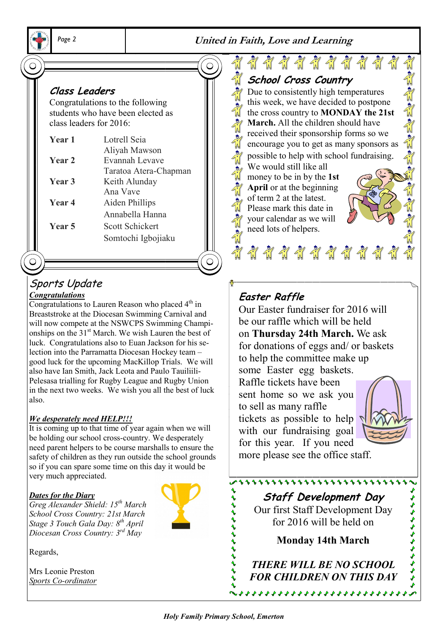

*Page 2* **United in Faith, Love and Learning**

## **Class Leaders**

Congratulations to the following students who have been elected as class leaders for 2016:

| Year 1 | Lotrell Seia          |
|--------|-----------------------|
|        | Aliyah Mawson         |
| Year 2 | Evannah Levave        |
|        | Taratoa Atera-Chapman |
| Year 3 | Keith Alunday         |
|        | Ana Vave              |
| Year 4 | Aiden Phillips        |
|        | Annabella Hanna       |
| Year 5 | Scott Schickert       |
|        | Somtochi Igbojiaku    |
|        |                       |

# Sports Update

#### *Congratulations*

Congratulations to Lauren Reason who placed  $4<sup>th</sup>$  in Breaststroke at the Diocesan Swimming Carnival and will now compete at the NSWCPS Swimming Championships on the 31<sup>st</sup> March. We wish Lauren the best of luck. Congratulations also to Euan Jackson for his selection into the Parramatta Diocesan Hockey team – good luck for the upcoming MacKillop Trials. We will also have Ian Smith, Jack Leota and Paulo Tauiliili-Pelesasa trialling for Rugby League and Rugby Union in the next two weeks. We wish you all the best of luck also.

#### *We desperately need HELP!!!*

It is coming up to that time of year again when we will be holding our school cross-country. We desperately need parent helpers to be course marshalls to ensure the safety of children as they run outside the school grounds so if you can spare some time on this day it would be very much appreciated.

#### *Dates for the Diary*

*Greg Alexander Shield: 15th March School Cross Country: 21st March Stage 3 Touch Gala Day: 8th April Diocesan Cross Country: 3rd May*

Regards,

Mrs Leonie Preston *Sports Co-ordinator*



#### **EXI** \*\*\*\*\*\*\*\*\*\* of a signification **School Cross Country** Due to consistently high temperatures this week, we have decided to postpone the cross country to **MONDAY the 21st March.** All the children should have received their sponsorship forms so we encourage you to get as many sponsors as possible to help with school fundraising. We would still like all money to be in by the **1st April** or at the beginning of term 2 at the latest. Please mark this date in your calendar as we will need lots of helpers. \*\*\*\*\*\*\*\*\*\*\*

## **Easter Raffle**

Our Easter fundraiser for 2016 will be our raffle which will be held on **Thursday 24th March.** We ask for donations of eggs and/ or baskets to help the committee make up some Easter egg baskets. Raffle tickets have been sent home so we ask you to sell as many raffle tickets as possible to help with our fundraising goal for this year. If you need



とうようききょうきょう

more please see the office staff.

**Staff Development Day** Our first Staff Development Day for 2016 will be held on

111111111111111111111111111

**Monday 14th March**

*THERE WILL BE NO SCHOOL FOR CHILDREN ON THIS DAY*

けけけけけけけ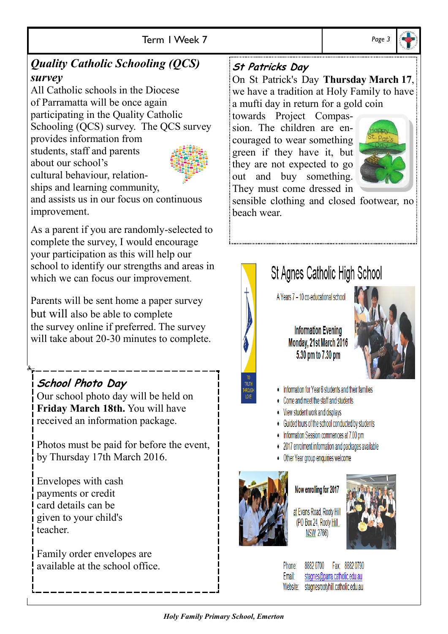## *Quality Catholic Schooling (QCS) survey*

All Catholic schools in the Diocese of Parramatta will be once again participating in the Quality Catholic Schooling (QCS) survey. The QCS survey

provides information from students, staff and parents about our school's cultural behaviour, relation-

ships and learning community, and assists us in our focus on continuous improvement.

As a parent if you are randomly-selected to complete the survey, I would encourage your participation as this will help our school to identify our strengths and areas in which we can focus our improvement.

Parents will be sent home a paper survey but will also be able to complete the survey online if preferred. The survey will take about 20-30 minutes to complete.

## **School Photo Day**

Our school photo day will be held on **Friday March 18th.** You will have received an information package.

Photos must be paid for before the event, by Thursday 17th March 2016.

Envelopes with cash payments or credit card details can be given to your child's teacher.

Family order envelopes are available at the school office.

## **St Patricks Day**

On St Patrick's Day **Thursday March 17**, we have a tradition at Holy Family to have a mufti day in return for a gold coin

towards Project Compassion. The children are encouraged to wear something green if they have it, but they are not expected to go out and buy something. They must come dressed in



sensible clothing and closed footwear, no beach wear.

# St Agnes Catholic High School

A Years 7 - 10 co-educational school

**Information Evening** Monday, 21st March 2016 5.30 pm to 7.30 pm



- Information for Year 6 students and their families
- Come and meet the staff and students
- View student work and displays
- Guided tours of the school conducted by students
- Information Session commences at 7.00 pm
- 2017 enrolment information and packages available
- Other Year group enquiries welcome



#### Now enrolling for 2017

at Evans Road, Rooty Hill (PO Box 24, Rooty Hill **NSW 2766)** 

Phone: I

Fmail:

8882 0700 Fax: 8882 0790 stagnes@parra.catholic.edu.au Website: stagnesrootyhill.catholic.edu.au